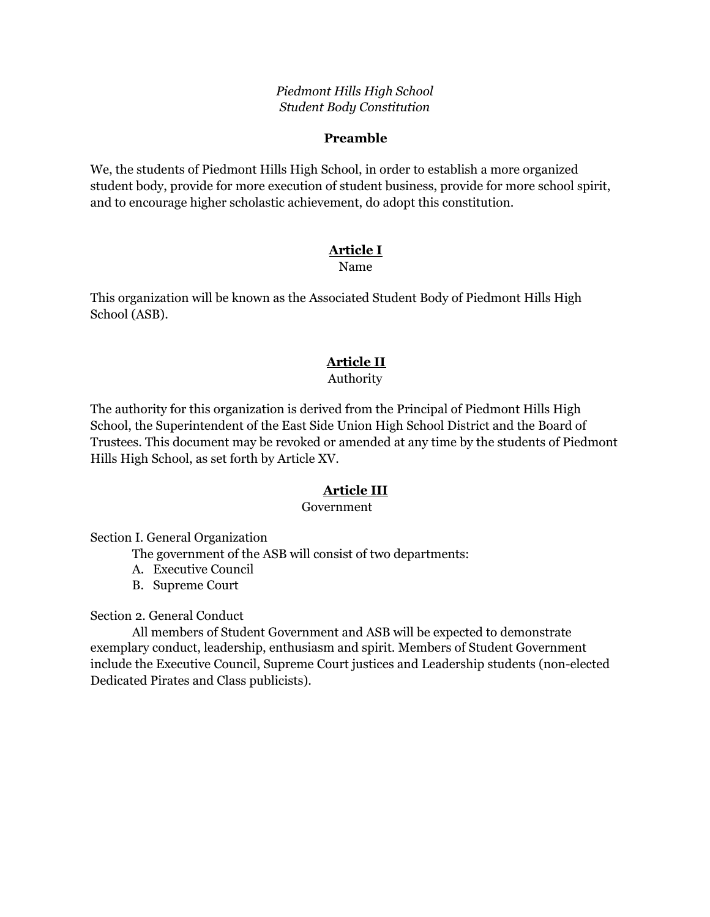#### *Piedmont Hills High School Student Body Constitution*

#### **Preamble**

We, the students of Piedmont Hills High School, in order to establish a more organized student body, provide for more execution of student business, provide for more school spirit, and to encourage higher scholastic achievement, do adopt this constitution.

## **Article I**

Name

This organization will be known as the Associated Student Body of Piedmont Hills High School (ASB).

## **Article II**

#### Authority

The authority for this organization is derived from the Principal of Piedmont Hills High School, the Superintendent of the East Side Union High School District and the Board of Trustees. This document may be revoked or amended at any time by the students of Piedmont Hills High School, as set forth by Article XV.

### **Article III**

#### Government

Section I. General Organization

The government of the ASB will consist of two departments:

- A. Executive Council
- B. Supreme Court

### Section 2. General Conduct

All members of Student Government and ASB will be expected to demonstrate exemplary conduct, leadership, enthusiasm and spirit. Members of Student Government include the Executive Council, Supreme Court justices and Leadership students (non-elected Dedicated Pirates and Class publicists).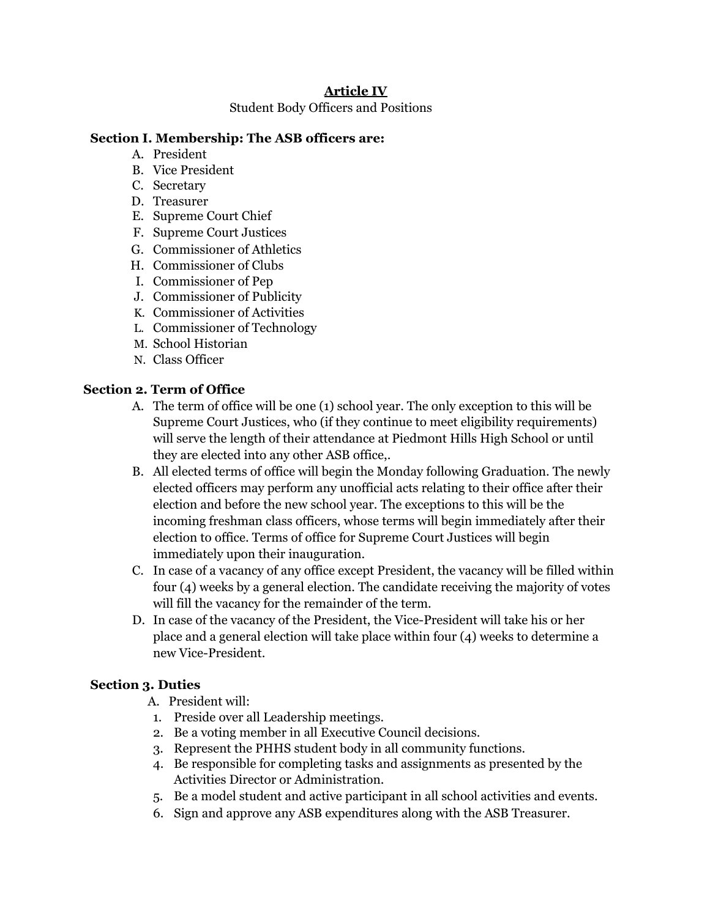# **Article IV**

### Student Body Officers and Positions

#### **Section I. Membership: The ASB officers are:**

- A. President
- B. Vice President
- C. Secretary
- D. Treasurer
- E. Supreme Court Chief
- F. Supreme Court Justices
- G. Commissioner of Athletics
- H. Commissioner of Clubs
- I. Commissioner of Pep
- J. Commissioner of Publicity
- K. Commissioner of Activities
- L. Commissioner of Technology
- M. School Historian
- N. Class Officer

### **Section 2. Term of Office**

- A. The term of office will be one (1) school year. The only exception to this will be Supreme Court Justices, who (if they continue to meet eligibility requirements) will serve the length of their attendance at Piedmont Hills High School or until they are elected into any other ASB office,.
- B. All elected terms of office will begin the Monday following Graduation. The newly elected officers may perform any unofficial acts relating to their office after their election and before the new school year. The exceptions to this will be the incoming freshman class officers, whose terms will begin immediately after their election to office. Terms of office for Supreme Court Justices will begin immediately upon their inauguration.
- C. In case of a vacancy of any office except President, the vacancy will be filled within four (4) weeks by a general election. The candidate receiving the majority of votes will fill the vacancy for the remainder of the term.
- D. In case of the vacancy of the President, the Vice-President will take his or her place and a general election will take place within four (4) weeks to determine a new Vice-President.

### **Section 3. Duties**

- A. President will:
- 1. Preside over all Leadership meetings.
- 2. Be a voting member in all Executive Council decisions.
- 3. Represent the PHHS student body in all community functions.
- 4. Be responsible for completing tasks and assignments as presented by the Activities Director or Administration.
- 5. Be a model student and active participant in all school activities and events.
- 6. Sign and approve any ASB expenditures along with the ASB Treasurer.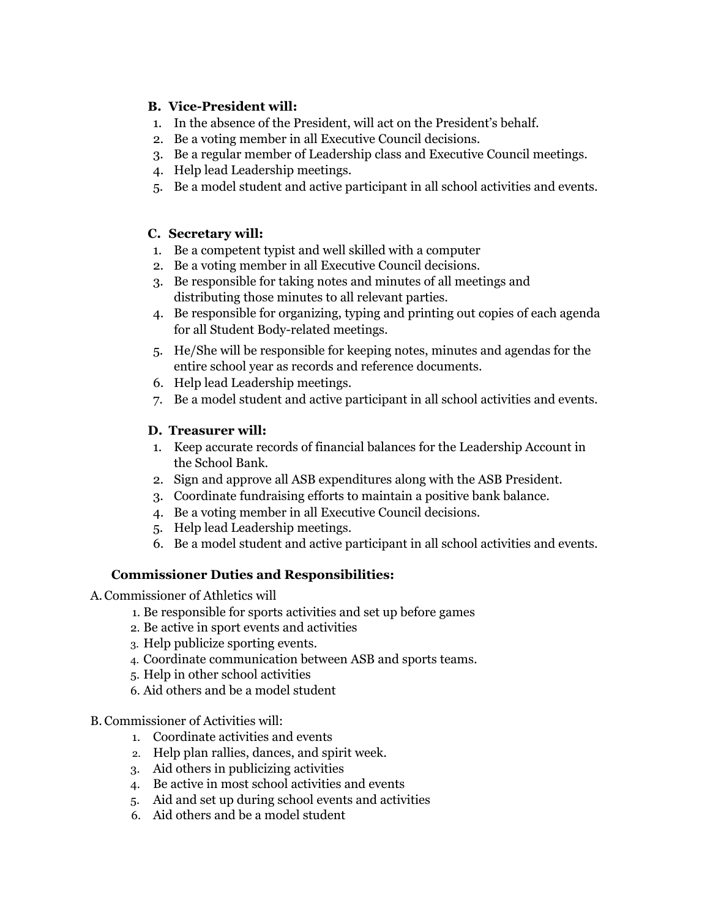## **B. Vice-President will:**

- 1. In the absence of the President, will act on the President's behalf.
- 2. Be a voting member in all Executive Council decisions.
- 3. Be a regular member of Leadership class and Executive Council meetings.
- 4. Help lead Leadership meetings.
- 5. Be a model student and active participant in all school activities and events.

### **C. Secretary will:**

- 1. Be a competent typist and well skilled with a computer
- 2. Be a voting member in all Executive Council decisions.
- 3. Be responsible for taking notes and minutes of all meetings and distributing those minutes to all relevant parties.
- 4. Be responsible for organizing, typing and printing out copies of each agenda for all Student Body-related meetings.
- 5. He/She will be responsible for keeping notes, minutes and agendas for the entire school year as records and reference documents.
- 6. Help lead Leadership meetings.
- 7. Be a model student and active participant in all school activities and events.

### **D. Treasurer will:**

- 1. Keep accurate records of financial balances for the Leadership Account in the School Bank.
- 2. Sign and approve all ASB expenditures along with the ASB President.
- 3. Coordinate fundraising efforts to maintain a positive bank balance.
- 4. Be a voting member in all Executive Council decisions.
- 5. Help lead Leadership meetings.
- 6. Be a model student and active participant in all school activities and events.

### **Commissioner Duties and Responsibilities:**

- A.Commissioner of Athletics will
	- 1. Be responsible for sports activities and set up before games
	- 2. Be active in sport events and activities
	- 3. Help publicize sporting events.
	- 4. Coordinate communication between ASB and sports teams.
	- 5. Help in other school activities
	- 6. Aid others and be a model student

#### B. Commissioner of Activities will:

- 1. Coordinate activities and events
- 2. Help plan rallies, dances, and spirit week.
- 3. Aid others in publicizing activities
- 4. Be active in most school activities and events
- 5. Aid and set up during school events and activities
- 6. Aid others and be a model student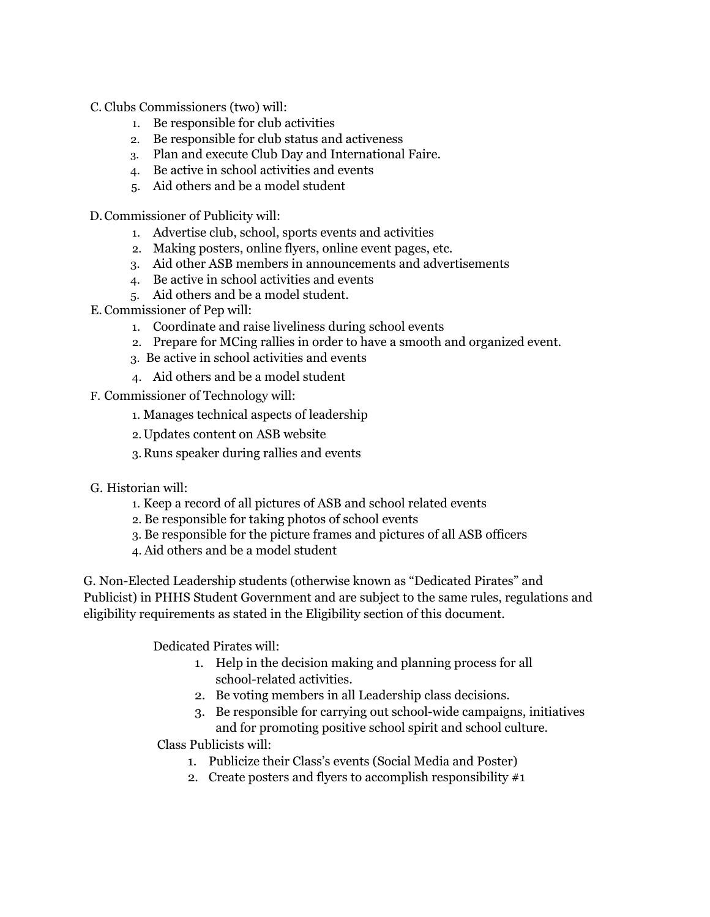C. Clubs Commissioners (two) will:

- 1. Be responsible for club activities
- 2. Be responsible for club status and activeness
- 3. Plan and execute Club Day and International Faire.
- 4. Be active in school activities and events
- 5. Aid others and be a model student

D.Commissioner of Publicity will:

- 1. Advertise club, school, sports events and activities
- 2. Making posters, online flyers, online event pages, etc.
- 3. Aid other ASB members in announcements and advertisements
- 4. Be active in school activities and events
- 5. Aid others and be a model student.
- E. Commissioner of Pep will:
	- 1. Coordinate and raise liveliness during school events
	- 2. Prepare for MCing rallies in order to have a smooth and organized event.
	- 3. Be active in school activities and events
	- 4. Aid others and be a model student
- F. Commissioner of Technology will:
	- 1. Manages technical aspects of leadership
	- 2.Updates content on ASB website
	- 3. Runs speaker during rallies and events
- G. Historian will:
	- 1. Keep a record of all pictures of ASB and school related events
	- 2. Be responsible for taking photos of school events
	- 3. Be responsible for the picture frames and pictures of all ASB officers
	- 4. Aid others and be a model student

G. Non-Elected Leadership students (otherwise known as "Dedicated Pirates" and Publicist) in PHHS Student Government and are subject to the same rules, regulations and eligibility requirements as stated in the Eligibility section of this document.

Dedicated Pirates will:

- 1. Help in the decision making and planning process for all school-related activities.
- 2. Be voting members in all Leadership class decisions.
- 3. Be responsible for carrying out school-wide campaigns, initiatives and for promoting positive school spirit and school culture.

Class Publicists will:

- 1. Publicize their Class's events (Social Media and Poster)
- 2. Create posters and flyers to accomplish responsibility #1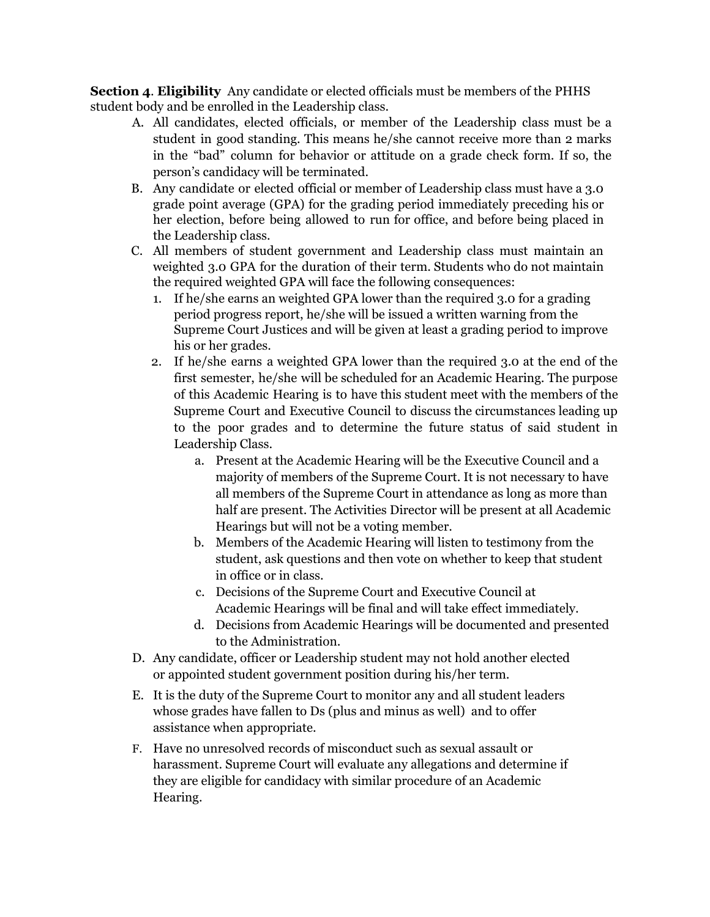**Section 4**. **Eligibility** Any candidate or elected officials must be members of the PHHS student body and be enrolled in the Leadership class.

- A. All candidates, elected officials, or member of the Leadership class must be a student in good standing. This means he/she cannot receive more than 2 marks in the "bad" column for behavior or attitude on a grade check form. If so, the person's candidacy will be terminated.
- B. Any candidate or elected official or member of Leadership class must have a 3.0 grade point average (GPA) for the grading period immediately preceding his or her election, before being allowed to run for office, and before being placed in the Leadership class.
- C. All members of student government and Leadership class must maintain an weighted 3.0 GPA for the duration of their term. Students who do not maintain the required weighted GPA will face the following consequences:
	- 1. If he/she earns an weighted GPA lower than the required 3.0 for a grading period progress report, he/she will be issued a written warning from the Supreme Court Justices and will be given at least a grading period to improve his or her grades.
	- 2. If he/she earns a weighted GPA lower than the required 3.0 at the end of the first semester, he/she will be scheduled for an Academic Hearing. The purpose of this Academic Hearing is to have this student meet with the members of the Supreme Court and Executive Council to discuss the circumstances leading up to the poor grades and to determine the future status of said student in Leadership Class.
		- a. Present at the Academic Hearing will be the Executive Council and a majority of members of the Supreme Court. It is not necessary to have all members of the Supreme Court in attendance as long as more than half are present. The Activities Director will be present at all Academic Hearings but will not be a voting member.
		- b. Members of the Academic Hearing will listen to testimony from the student, ask questions and then vote on whether to keep that student in office or in class.
		- c. Decisions of the Supreme Court and Executive Council at Academic Hearings will be final and will take effect immediately.
		- d. Decisions from Academic Hearings will be documented and presented to the Administration.
- D. Any candidate, officer or Leadership student may not hold another elected or appointed student government position during his/her term.
- E. It is the duty of the Supreme Court to monitor any and all student leaders whose grades have fallen to Ds (plus and minus as well) and to offer assistance when appropriate.
- F. Have no unresolved records of misconduct such as sexual assault or harassment. Supreme Court will evaluate any allegations and determine if they are eligible for candidacy with similar procedure of an Academic Hearing.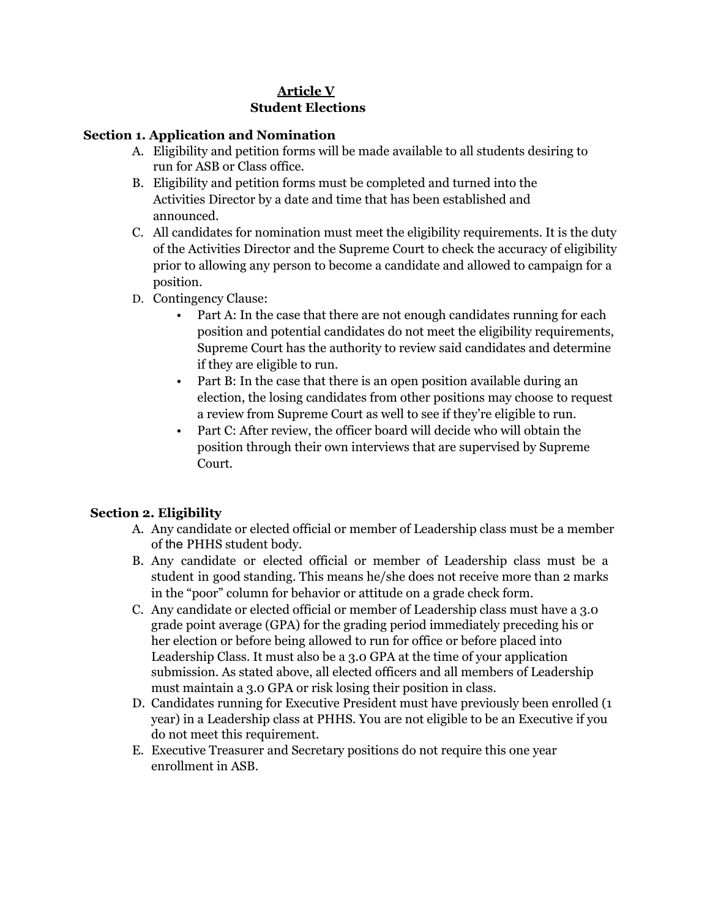# **Article V Student Elections**

### **Section 1. Application and Nomination**

- A. Eligibility and petition forms will be made available to all students desiring to run for ASB or Class office.
- B. Eligibility and petition forms must be completed and turned into the Activities Director by a date and time that has been established and announced.
- C. All candidates for nomination must meet the eligibility requirements. It is the duty of the Activities Director and the Supreme Court to check the accuracy of eligibility prior to allowing any person to become a candidate and allowed to campaign for a position.
- D. Contingency Clause:
	- Part A: In the case that there are not enough candidates running for each position and potential candidates do not meet the eligibility requirements, Supreme Court has the authority to review said candidates and determine if they are eligible to run.
	- Part B: In the case that there is an open position available during an election, the losing candidates from other positions may choose to request a review from Supreme Court as well to see if they're eligible to run.
	- Part C: After review, the officer board will decide who will obtain the position through their own interviews that are supervised by Supreme Court.

## **Section 2. Eligibility**

- A. Any candidate or elected official or member of Leadership class must be a member of the PHHS student body.
- B. Any candidate or elected official or member of Leadership class must be a student in good standing. This means he/she does not receive more than 2 marks in the "poor" column for behavior or attitude on a grade check form.
- C. Any candidate or elected official or member of Leadership class must have a 3.0 grade point average (GPA) for the grading period immediately preceding his or her election or before being allowed to run for office or before placed into Leadership Class. It must also be a 3.0 GPA at the time of your application submission. As stated above, all elected officers and all members of Leadership must maintain a 3.0 GPA or risk losing their position in class.
- D. Candidates running for Executive President must have previously been enrolled (1 year) in a Leadership class at PHHS. You are not eligible to be an Executive if you do not meet this requirement.
- E. Executive Treasurer and Secretary positions do not require this one year enrollment in ASB.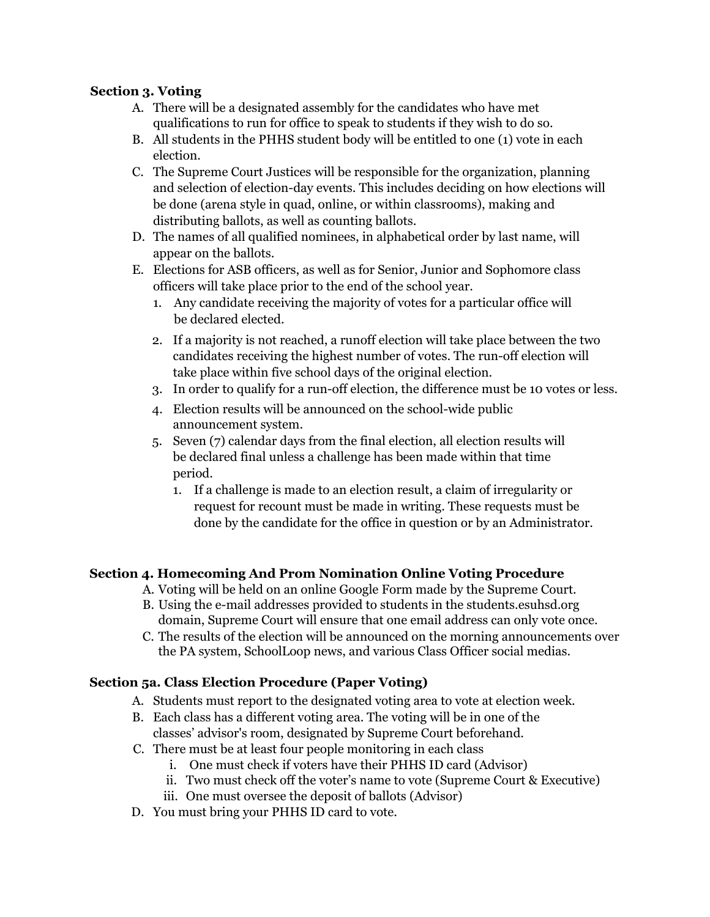## **Section 3. Voting**

- A. There will be a designated assembly for the candidates who have met qualifications to run for office to speak to students if they wish to do so.
- B. All students in the PHHS student body will be entitled to one (1) vote in each election.
- C. The Supreme Court Justices will be responsible for the organization, planning and selection of election-day events. This includes deciding on how elections will be done (arena style in quad, online, or within classrooms), making and distributing ballots, as well as counting ballots.
- D. The names of all qualified nominees, in alphabetical order by last name, will appear on the ballots.
- E. Elections for ASB officers, as well as for Senior, Junior and Sophomore class officers will take place prior to the end of the school year.
	- 1. Any candidate receiving the majority of votes for a particular office will be declared elected.
	- 2. If a majority is not reached, a runoff election will take place between the two candidates receiving the highest number of votes. The run-off election will take place within five school days of the original election.
	- 3. In order to qualify for a run-off election, the difference must be 10 votes or less.
	- 4. Election results will be announced on the school-wide public announcement system.
	- 5. Seven (7) calendar days from the final election, all election results will be declared final unless a challenge has been made within that time period.
		- 1. If a challenge is made to an election result, a claim of irregularity or request for recount must be made in writing. These requests must be done by the candidate for the office in question or by an Administrator.

## **Section 4. Homecoming And Prom Nomination Online Voting Procedure**

- A. Voting will be held on an online Google Form made by the Supreme Court.
- B. Using the e-mail addresses provided to students in the students.esuhsd.org domain, Supreme Court will ensure that one email address can only vote once.
- C. The results of the election will be announced on the morning announcements over the PA system, SchoolLoop news, and various Class Officer social medias.

## **Section 5a. Class Election Procedure (Paper Voting)**

- A. Students must report to the designated voting area to vote at election week.
- B. Each class has a different voting area. The voting will be in one of the classes' advisor's room, designated by Supreme Court beforehand.
- C. There must be at least four people monitoring in each class
	- i. One must check if voters have their PHHS ID card (Advisor)
	- ii. Two must check off the voter's name to vote (Supreme Court & Executive)
	- iii. One must oversee the deposit of ballots (Advisor)
- D. You must bring your PHHS ID card to vote.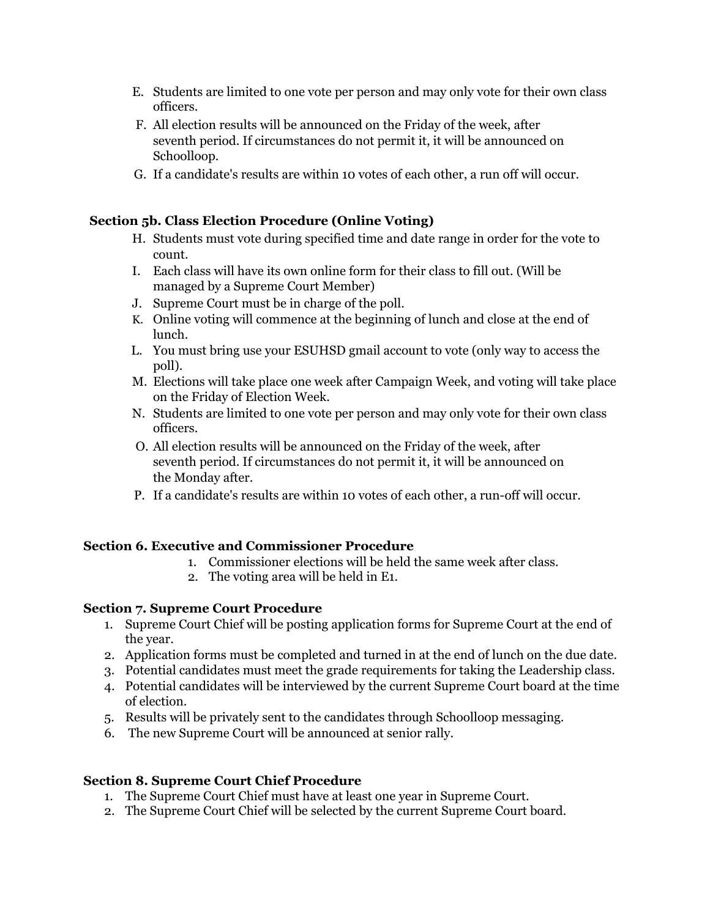- E. Students are limited to one vote per person and may only vote for their own class officers.
- F. All election results will be announced on the Friday of the week, after seventh period. If circumstances do not permit it, it will be announced on Schoolloop.
- G. If a candidate's results are within 10 votes of each other, a run off will occur.

## **Section 5b. Class Election Procedure (Online Voting)**

- H. Students must vote during specified time and date range in order for the vote to count.
- I. Each class will have its own online form for their class to fill out. (Will be managed by a Supreme Court Member)
- J. Supreme Court must be in charge of the poll.
- K. Online voting will commence at the beginning of lunch and close at the end of lunch.
- L. You must bring use your ESUHSD gmail account to vote (only way to access the poll).
- M. Elections will take place one week after Campaign Week, and voting will take place on the Friday of Election Week.
- N. Students are limited to one vote per person and may only vote for their own class officers.
- O. All election results will be announced on the Friday of the week, after seventh period. If circumstances do not permit it, it will be announced on the Monday after.
- P. If a candidate's results are within 10 votes of each other, a run-off will occur.

### **Section 6. Executive and Commissioner Procedure**

- 1. Commissioner elections will be held the same week after class.
- 2. The voting area will be held in E1.

### **Section 7. Supreme Court Procedure**

- 1. Supreme Court Chief will be posting application forms for Supreme Court at the end of the year.
- 2. Application forms must be completed and turned in at the end of lunch on the due date.
- 3. Potential candidates must meet the grade requirements for taking the Leadership class.
- 4. Potential candidates will be interviewed by the current Supreme Court board at the time of election.
- 5. Results will be privately sent to the candidates through Schoolloop messaging.
- 6. The new Supreme Court will be announced at senior rally.

## **Section 8. Supreme Court Chief Procedure**

- 1. The Supreme Court Chief must have at least one year in Supreme Court.
- 2. The Supreme Court Chief will be selected by the current Supreme Court board.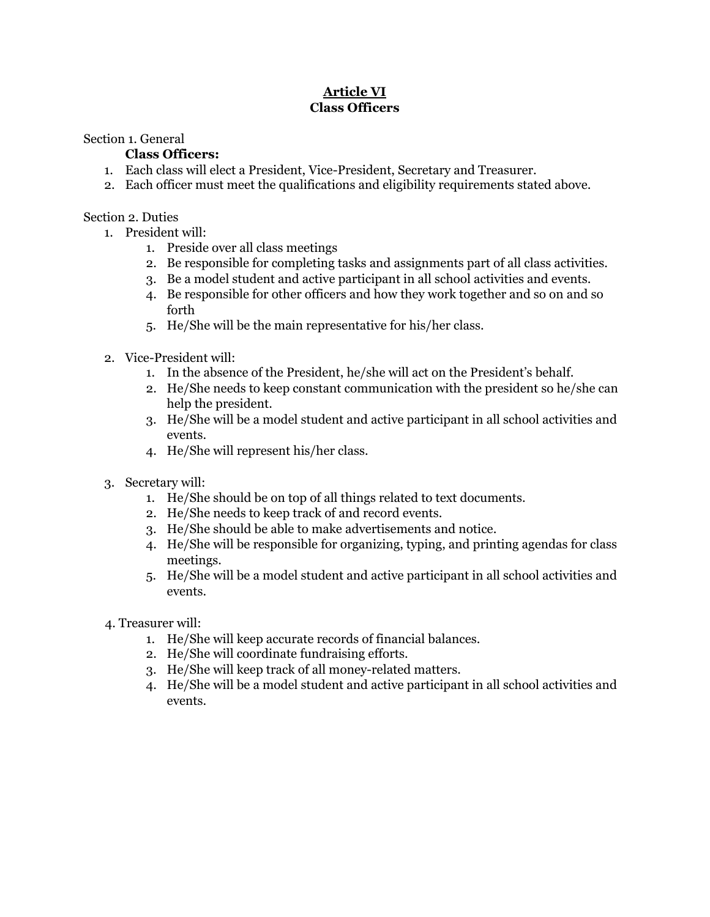## **Article VI Class Officers**

#### Section 1. General

### **Class Officers:**

- 1. Each class will elect a President, Vice-President, Secretary and Treasurer.
- 2. Each officer must meet the qualifications and eligibility requirements stated above.

Section 2. Duties

- 1. President will:
	- 1. Preside over all class meetings
	- 2. Be responsible for completing tasks and assignments part of all class activities.
	- 3. Be a model student and active participant in all school activities and events.
	- 4. Be responsible for other officers and how they work together and so on and so forth
	- 5. He/She will be the main representative for his/her class.
- 2. Vice-President will:
	- 1. In the absence of the President, he/she will act on the President's behalf.
	- 2. He/She needs to keep constant communication with the president so he/she can help the president.
	- 3. He/She will be a model student and active participant in all school activities and events.
	- 4. He/She will represent his/her class.
- 3. Secretary will:
	- 1. He/She should be on top of all things related to text documents.
	- 2. He/She needs to keep track of and record events.
	- 3. He/She should be able to make advertisements and notice.
	- 4. He/She will be responsible for organizing, typing, and printing agendas for class meetings.
	- 5. He/She will be a model student and active participant in all school activities and events.
- 4. Treasurer will:
	- 1. He/She will keep accurate records of financial balances.
	- 2. He/She will coordinate fundraising efforts.
	- 3. He/She will keep track of all money-related matters.
	- 4. He/She will be a model student and active participant in all school activities and events.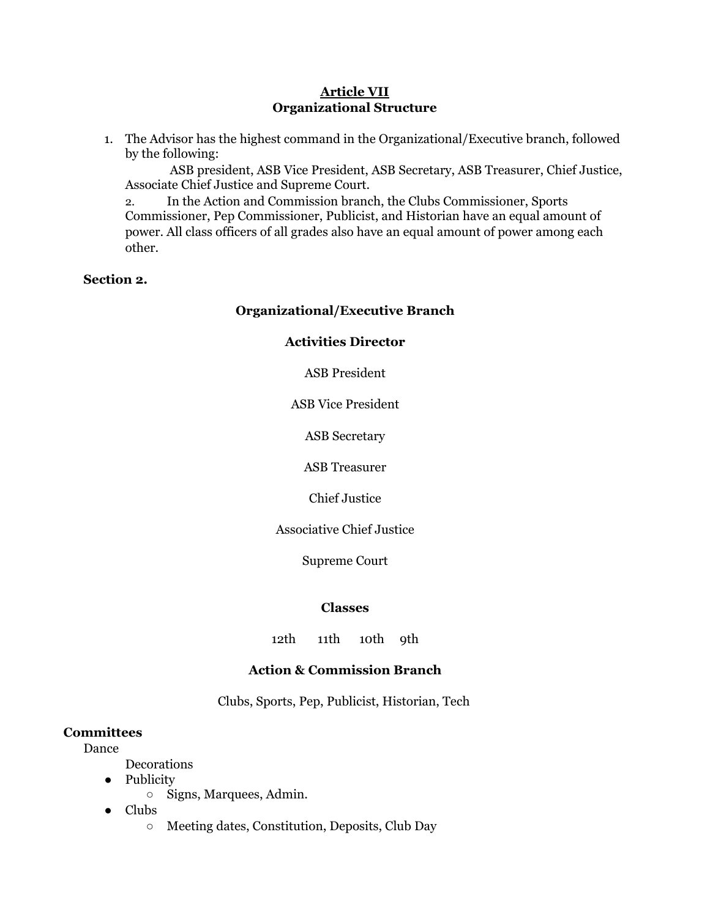### **Article VII Organizational Structure**

1. The Advisor has the highest command in the Organizational/Executive branch, followed by the following:

ASB president, ASB Vice President, ASB Secretary, ASB Treasurer, Chief Justice, Associate Chief Justice and Supreme Court.

2. In the Action and Commission branch, the Clubs Commissioner, Sports Commissioner, Pep Commissioner, Publicist, and Historian have an equal amount of power. All class officers of all grades also have an equal amount of power among each other.

#### **Section 2.**

#### **Organizational/Executive Branch**

#### **Activities Director**

ASB President

ASB Vice President

ASB Secretary

ASB Treasurer

Chief Justice

Associative Chief Justice

Supreme Court

### **Classes**

12th 11th 10th 9th

### **Action & Commission Branch**

Clubs, Sports, Pep, Publicist, Historian, Tech

#### **Committees**

Dance

Decorations

- Publicity
	- Signs, Marquees, Admin.
- Clubs
	- Meeting dates, Constitution, Deposits, Club Day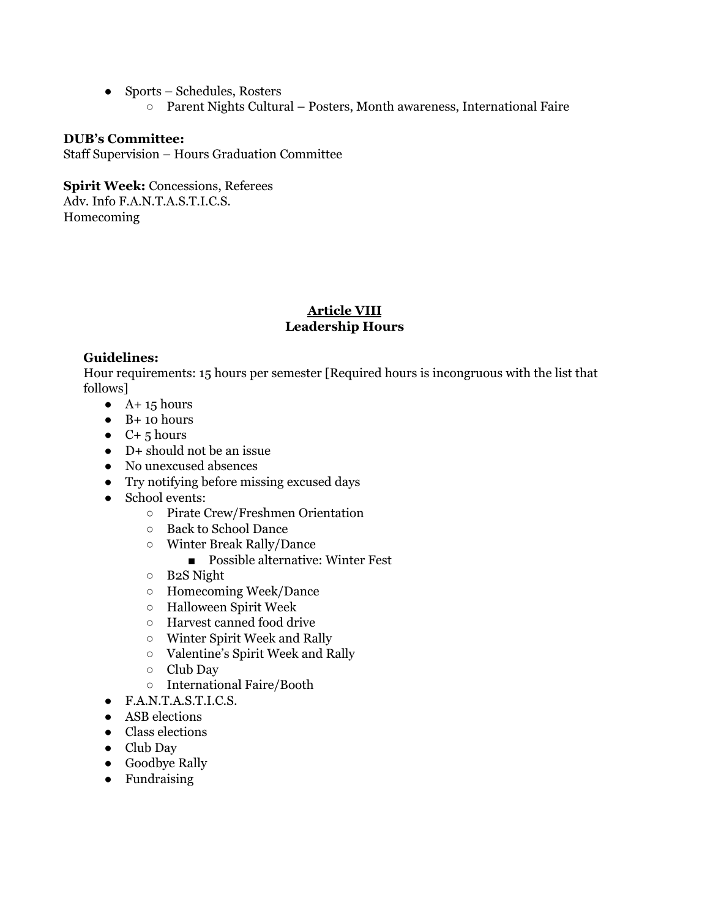- Sports Schedules, Rosters
	- Parent Nights Cultural Posters, Month awareness, International Faire

#### **DUB's Committee:**

Staff Supervision – Hours Graduation Committee

**Spirit Week:** Concessions, Referees Adv. Info F.A.N.T.A.S.T.I.C.S. Homecoming

## **Article VIII Leadership Hours**

### **Guidelines:**

Hour requirements: 15 hours per semester [Required hours is incongruous with the list that follows]

- $\bullet$  A+ 15 hours
- $\bullet$  B+ 10 hours
- $\bullet$  C+ 5 hours
- $\bullet$  D+ should not be an issue
- No unexcused absences
- Try notifying before missing excused days
- School events:
	- Pirate Crew/Freshmen Orientation
	- Back to School Dance
	- Winter Break Rally/Dance
		- Possible alternative: Winter Fest
	- B2S Night
	- Homecoming Week/Dance
	- Halloween Spirit Week
	- Harvest canned food drive
	- Winter Spirit Week and Rally
	- Valentine's Spirit Week and Rally
	- Club Day
	- International Faire/Booth
- $\bullet$  F.A.N.T.A.S.T.I.C.S.
- ASB elections
- Class elections
- Club Day
- Goodbye Rally
- Fundraising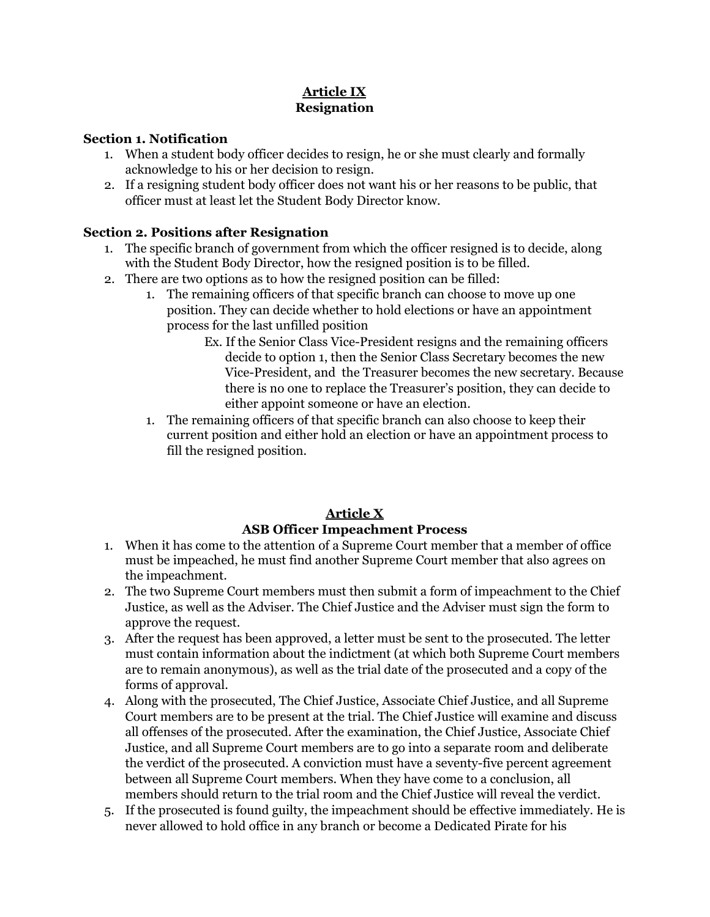# **Article IX Resignation**

### **Section 1. Notification**

- 1. When a student body officer decides to resign, he or she must clearly and formally acknowledge to his or her decision to resign.
- 2. If a resigning student body officer does not want his or her reasons to be public, that officer must at least let the Student Body Director know.

## **Section 2. Positions after Resignation**

- 1. The specific branch of government from which the officer resigned is to decide, along with the Student Body Director, how the resigned position is to be filled.
- 2. There are two options as to how the resigned position can be filled:
	- 1. The remaining officers of that specific branch can choose to move up one position. They can decide whether to hold elections or have an appointment process for the last unfilled position
		- Ex. If the Senior Class Vice-President resigns and the remaining officers decide to option 1, then the Senior Class Secretary becomes the new Vice-President, and the Treasurer becomes the new secretary. Because there is no one to replace the Treasurer's position, they can decide to either appoint someone or have an election.
	- 1. The remaining officers of that specific branch can also choose to keep their current position and either hold an election or have an appointment process to fill the resigned position.

# **Article X ASB Officer Impeachment Process**

- 1. When it has come to the attention of a Supreme Court member that a member of office must be impeached, he must find another Supreme Court member that also agrees on the impeachment.
- 2. The two Supreme Court members must then submit a form of impeachment to the Chief Justice, as well as the Adviser. The Chief Justice and the Adviser must sign the form to approve the request.
- 3. After the request has been approved, a letter must be sent to the prosecuted. The letter must contain information about the indictment (at which both Supreme Court members are to remain anonymous), as well as the trial date of the prosecuted and a copy of the forms of approval.
- 4. Along with the prosecuted, The Chief Justice, Associate Chief Justice, and all Supreme Court members are to be present at the trial. The Chief Justice will examine and discuss all offenses of the prosecuted. After the examination, the Chief Justice, Associate Chief Justice, and all Supreme Court members are to go into a separate room and deliberate the verdict of the prosecuted. A conviction must have a seventy-five percent agreement between all Supreme Court members. When they have come to a conclusion, all members should return to the trial room and the Chief Justice will reveal the verdict.
- 5. If the prosecuted is found guilty, the impeachment should be effective immediately. He is never allowed to hold office in any branch or become a Dedicated Pirate for his